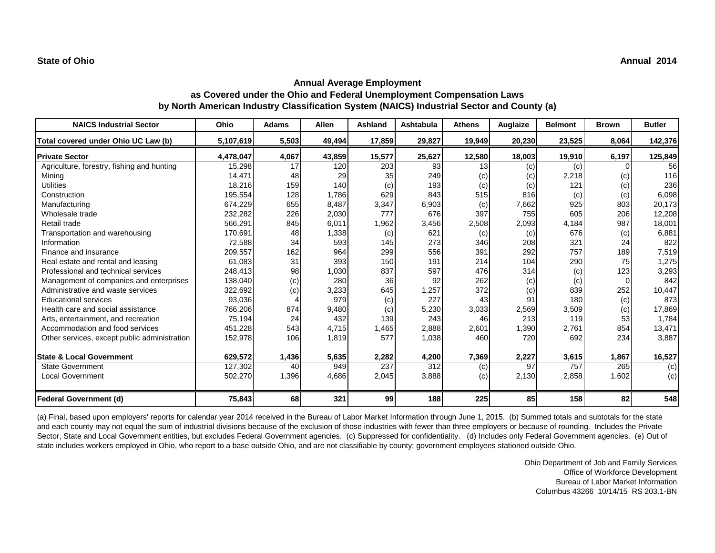### **Annual Average Employment**

### **as Covered under the Ohio and Federal Unemployment Compensation Laws by North American Industry Classification System (NAICS) Industrial Sector and County (a)**

| <b>NAICS Industrial Sector</b>               | Ohio      | <b>Adams</b> | <b>Allen</b> | Ashland | <b>Ashtabula</b> | <b>Athens</b> | Auglaize | <b>Belmont</b> | <b>Brown</b> | <b>Butler</b> |
|----------------------------------------------|-----------|--------------|--------------|---------|------------------|---------------|----------|----------------|--------------|---------------|
| Total covered under Ohio UC Law (b)          | 5,107,619 | 5,503        | 49,494       | 17,859  | 29,827           | 19,949        | 20,230   | 23,525         | 8,064        | 142,376       |
| <b>Private Sector</b>                        | 4,478,047 | 4,067        | 43,859       | 15,577  | 25,627           | 12,580        | 18,003   | 19,910         | 6,197        | 125,849       |
| Agriculture, forestry, fishing and hunting   | 15,298    | 17           | 120          | 203     | 93               | 13            | (c)      | (c)            |              | 56            |
| Mining                                       | 14,471    | 48           | 29           | 35      | 249              | (c)           | (c)      | 2,218          | (c)          | 116           |
| <b>Utilities</b>                             | 18,216    | 159          | 140          | (c)     | 193              | (c)           | (c)      | 121            | (c)          | 236           |
| Construction                                 | 195,554   | 128          | 1,786        | 629     | 843              | 515           | 816      | (c)            | (c)          | 6,098         |
| Manufacturing                                | 674,229   | 655          | 8,487        | 3,347   | 6,903            | (c)           | 7,662    | 925            | 803          | 20,173        |
| Wholesale trade                              | 232,282   | 226          | 2,030        | 777     | 676              | 397           | 755      | 605            | 206          | 12,208        |
| Retail trade                                 | 566,291   | 845          | 6,011        | 1,962   | 3,456            | 2,508         | 2,093    | 4,184          | 987          | 18,001        |
| Transportation and warehousing               | 170,691   | 48           | 1,338        | (c)     | 621              | (c)           | (c)      | 676            | (c)          | 6,881         |
| Information                                  | 72,588    | 34           | 593          | 145     | 273              | 346           | 208      | 321            | 24           | 822           |
| Finance and insurance                        | 209,557   | 162          | 964          | 299     | 556              | 391           | 292      | 757            | 189          | 7,519         |
| Real estate and rental and leasing           | 61,083    | 31           | 393          | 150     | 191              | 214           | 104      | 290            | 75           | 1,275         |
| Professional and technical services          | 248,413   | 98           | 1,030        | 837     | 597              | 476           | 314      | (c)            | 123          | 3,293         |
| Management of companies and enterprises      | 138,040   | (c)          | 280          | 36      | 92               | 262           | (c)      | (c)            | $\Omega$     | 842           |
| Administrative and waste services            | 322,692   | (c)          | 3,233        | 645     | 1,257            | 372           | (c)      | 839            | 252          | 10,447        |
| <b>Educational services</b>                  | 93,036    |              | 979          | (c)     | 227              | 43            | 91       | 180            | (c)          | 873           |
| Health care and social assistance            | 766,206   | 874          | 9,480        | (c)     | 5,230            | 3,033         | 2,569    | 3,509          | (c)          | 17,869        |
| Arts, entertainment, and recreation          | 75,194    | 24           | 432          | 139     | 243              | 46            | 213      | 119            | 53           | 1,784         |
| Accommodation and food services              | 451,228   | 543          | 4,715        | 1,465   | 2,888            | 2,601         | ,390     | 2.761          | 854          | 13,471        |
| Other services, except public administration | 152,978   | 106          | 1,819        | 577     | 1,038            | 460           | 720      | 692            | 234          | 3,887         |
| <b>State &amp; Local Government</b>          | 629,572   | 1,436        | 5,635        | 2,282   | 4,200            | 7,369         | 2,227    | 3,615          | 1,867        | 16,527        |
| <b>State Government</b>                      | 127,302   | 40           | 949          | 237     | 312              | (c)           | 97       | 757            | 265          | (c)           |
| <b>Local Government</b>                      | 502,270   | 1,396        | 4,686        | 2,045   | 3,888            | (c)           | 2,130    | 2,858          | 1,602        | (c)           |
| <b>Federal Government (d)</b>                | 75,843    | 68           | 321          | 99      | 188              | 225           | 85       | 158            | 82           | 548           |

(a) Final, based upon employers' reports for calendar year 2014 received in the Bureau of Labor Market Information through June 1, 2015. (b) Summed totals and subtotals for the state and each county may not equal the sum of industrial divisions because of the exclusion of those industries with fewer than three employers or because of rounding. Includes the Private Sector, State and Local Government entities, but excludes Federal Government agencies. (c) Suppressed for confidentiality. (d) Includes only Federal Government agencies. (e) Out of state includes workers employed in Ohio, who report to a base outside Ohio, and are not classifiable by county; government employees stationed outside Ohio.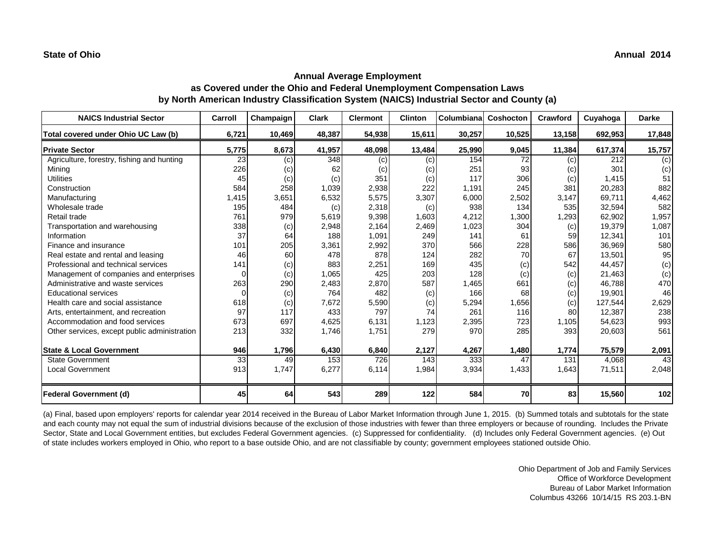| <b>NAICS Industrial Sector</b>               | Carroll | Champaign | <b>Clark</b> | <b>Clermont</b> | <b>Clinton</b> | Columbiana | <b>Coshocton</b> | Crawford | Cuyahoga | <b>Darke</b> |
|----------------------------------------------|---------|-----------|--------------|-----------------|----------------|------------|------------------|----------|----------|--------------|
| Total covered under Ohio UC Law (b)          | 6,721   | 10,469    | 48,387       | 54,938          | 15,611         | 30,257     | 10,525           | 13,158   | 692,953  | 17,848       |
| <b>Private Sector</b>                        | 5,775   | 8,673     | 41,957       | 48,098          | 13,484         | 25,990     | 9,045            | 11,384   | 617,374  | 15,757       |
| Agriculture, forestry, fishing and hunting   | 23      | (c)       | 348          | (c)             | (c)            | 154        | 72               | (c)      | 212      | (c)          |
| Mining                                       | 226     | (c)       | 62           | (c)             | (c)            | 251        | 93               | (c)      | 301      | (c)          |
| <b>Utilities</b>                             | 45      | (c)       | (c)          | 351             | (c)            | 117        | 306              | (c)      | 1,415    | 51           |
| Construction                                 | 584     | 258       | 1,039        | 2,938           | 222            | 1,191      | 245              | 381      | 20,283   | 882          |
| Manufacturing                                | 1,415   | 3,651     | 6,532        | 5,575           | 3,307          | 6,000      | 2,502            | 3,147    | 69,711   | 4,462        |
| Wholesale trade                              | 195     | 484       | (c)          | 2,318           | (c)            | 938        | 134              | 535      | 32,594   | 582          |
| Retail trade                                 | 761     | 979       | 5,619        | 9,398           | 1,603          | 4,212      | 1,300            | 1,293    | 62,902   | 1,957        |
| Transportation and warehousing               | 338     | (c)       | 2,948        | 2,164           | 2,469          | 1,023      | 304              | (c)      | 19,379   | 1,087        |
| Information                                  | 37      | 64        | 188          | 1,091           | 249            | 141        | 61               | 59       | 12,341   | 101          |
| Finance and insurance                        | 101     | 205       | 3,361        | 2,992           | 370            | 566        | 228              | 586      | 36,969   | 580          |
| Real estate and rental and leasing           | 46      | 60        | 478          | 878             | 124            | 282        | 70               | 67       | 13,501   | 95           |
| Professional and technical services          | 141     | (c)       | 883          | 2,251           | 169            | 435        | (c)              | 542      | 44,457   | (c)          |
| Management of companies and enterprises      | 0       | (c)       | 1,065        | 425             | 203            | 128        | (c)              | (c)      | 21,463   | (c)          |
| Administrative and waste services            | 263     | 290       | 2,483        | 2,870           | 587            | 1,465      | 661              | (c)      | 46,788   | 470          |
| <b>Educational services</b>                  |         | (c)       | 764          | 482             | (c)            | 166        | 68               | (c)      | 19,901   | 46           |
| Health care and social assistance            | 618     | (c)       | 7,672        | 5,590           | (c)            | 5,294      | 1,656            | (c)      | 127,544  | 2,629        |
| Arts, entertainment, and recreation          | 97      | 117       | 433          | 797             | 74             | 261        | 116              | 80       | 12,387   | 238          |
| Accommodation and food services              | 673     | 697       | 4,625        | 6,131           | 1,123          | 2,395      | 723              | 1,105    | 54,623   | 993          |
| Other services, except public administration | 213     | 332       | 1,746        | 1,751           | 279            | 970        | 285              | 393      | 20,603   | 561          |
| <b>State &amp; Local Government</b>          | 946     | 1,796     | 6,430        | 6,840           | 2,127          | 4,267      | 1,480            | 1,774    | 75,579   | 2,091        |
| <b>State Government</b>                      | 33      | 49        | 153          | 726             | 143            | 333        | 47               | 131      | 4,068    | 43           |
| <b>Local Government</b>                      | 913     | 1,747     | 6,277        | 6,114           | 1,984          | 3,934      | 1,433            | 1,643    | 71,511   | 2,048        |
| <b>Federal Government (d)</b>                | 45      | 64        | 543          | 289             | 122            | 584        | 70               | 83       | 15,560   | 102          |

(a) Final, based upon employers' reports for calendar year 2014 received in the Bureau of Labor Market Information through June 1, 2015. (b) Summed totals and subtotals for the state and each county may not equal the sum of industrial divisions because of the exclusion of those industries with fewer than three employers or because of rounding. Includes the Private Sector, State and Local Government entities, but excludes Federal Government agencies. (c) Suppressed for confidentiality. (d) Includes only Federal Government agencies. (e) Out of state includes workers employed in Ohio, who report to a base outside Ohio, and are not classifiable by county; government employees stationed outside Ohio.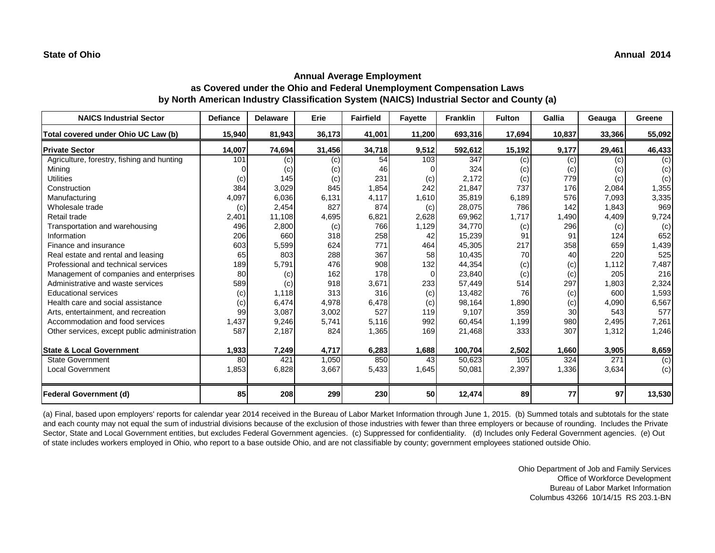# **Annual Average Employment as Covered under the Ohio and Federal Unemployment Compensation Laws by North American Industry Classification System (NAICS) Industrial Sector and County (a)**

| <b>NAICS Industrial Sector</b>               | <b>Defiance</b> | <b>Delaware</b> | Erie   | <b>Fairfield</b> | <b>Fayette</b> | <b>Franklin</b> | <b>Fulton</b> | Gallia | Geauga | Greene         |
|----------------------------------------------|-----------------|-----------------|--------|------------------|----------------|-----------------|---------------|--------|--------|----------------|
| Total covered under Ohio UC Law (b)          | 15,940          | 81,943          | 36,173 | 41,001           | 11,200         | 693,316         | 17,694        | 10,837 | 33,366 | 55,092         |
| <b>Private Sector</b>                        | 14,007          | 74,694          | 31,456 | 34,718           | 9,512          | 592,612         | 15,192        | 9,177  | 29,461 | 46,433         |
| Agriculture, forestry, fishing and hunting   | 101             | (c)             | (c)    | 54               | 103            | 347             | (c)           | (c)    | (c)    | (c)            |
| Mining                                       |                 | (c)             | (c)    | 46               |                | 324             | (c)           | (c)    | (c)    | (c)            |
| <b>Utilities</b>                             | (c)             | 145             | (c)    | 231              | (c)            | 2,172           | (c)           | 779    | (c)    | (c)            |
| Construction                                 | 384             | 3,029           | 845    | 1,854            | 242            | 21,847          | 737           | 176    | 2,084  | 1,355          |
| Manufacturing                                | 4,097           | 6,036           | 6,131  | 4,117            | 1,610          | 35,819          | 6,189         | 576    | 7.093  | 3,335          |
| Wholesale trade                              | (c)             | 2,454           | 827    | 874              | (c)            | 28,075          | 786           | 142    | 1,843  | 969            |
| Retail trade                                 | 2,401           | 11,108          | 4,695  | 6,821            | 2,628          | 69,962          | 1,717         | 1,490  | 4,409  | 9,724          |
| Transportation and warehousing               | 496             | 2,800           | (c)    | 766              | 1,129          | 34,770          | (c)           | 296    | (c)    | (c)            |
| Information                                  | 206             | 660             | 318    | 258              | 42             | 15,239          | 91            | 91     | 124    | 652            |
| Finance and insurance                        | 603             | 5,599           | 624    | 771              | 464            | 45,305          | 217           | 358    | 659    | 1,439          |
| Real estate and rental and leasing           | 65              | 803             | 288    | 367              | 58             | 10,435          | 70            | 40     | 220    | 525            |
| Professional and technical services          | 189             | 5,791           | 476    | 908              | 132            | 44,354          | (c)           | (c)    | 1.112  | 7,487          |
| Management of companies and enterprises      | 80              | (c)             | 162    | 178              | $\Omega$       | 23,840          | (c)           | (c)    | 205    | 216            |
| Administrative and waste services            | 589             | (c)             | 918    | 3,671            | 233            | 57,449          | 514           | 297    | 1,803  | 2,324          |
| <b>Educational services</b>                  | (c)             | 1,118           | 313    | 316              | (c)            | 13,482          | 76            | (c)    | 600    | 1,593          |
| Health care and social assistance            | (c)             | 6,474           | 4,978  | 6,478            | (c)            | 98,164          | 1,890         | (c)    | 4,090  | 6,567          |
| Arts, entertainment, and recreation          | 99              | 3,087           | 3,002  | 527              | 119            | 9,107           | 359           | 30     | 543    | 577            |
| Accommodation and food services              | 1,437           | 9,246           | 5,741  | 5,116            | 992            | 60,454          | 1,199         | 980    | 2,495  | 7,261          |
| Other services, except public administration | 587             | 2,187           | 824    | 1,365            | 169            | 21,468          | 333           | 307    | 1,312  | 1,246          |
| <b>State &amp; Local Government</b>          | 1,933           | 7,249           | 4,717  | 6,283            | 1,688          | 100,704         | 2,502         | 1,660  | 3,905  | 8,659          |
| <b>State Government</b>                      | 80              | 421             | 1,050  | 850              | 43             | 50,623          | 105           | 324    | 271    | $\overline{c}$ |
| <b>Local Government</b>                      | 1,853           | 6,828           | 3,667  | 5,433            | 1,645          | 50,081          | 2,397         | 1,336  | 3,634  | (c)            |
| <b>Federal Government (d)</b>                | 85              | 208             | 299    | 230              | <b>50</b>      | 12,474          | 89            | 77     | 97     | 13,530         |

(a) Final, based upon employers' reports for calendar year 2014 received in the Bureau of Labor Market Information through June 1, 2015. (b) Summed totals and subtotals for the state and each county may not equal the sum of industrial divisions because of the exclusion of those industries with fewer than three employers or because of rounding. Includes the Private Sector, State and Local Government entities, but excludes Federal Government agencies. (c) Suppressed for confidentiality. (d) Includes only Federal Government agencies. (e) Out of state includes workers employed in Ohio, who report to a base outside Ohio, and are not classifiable by county; government employees stationed outside Ohio.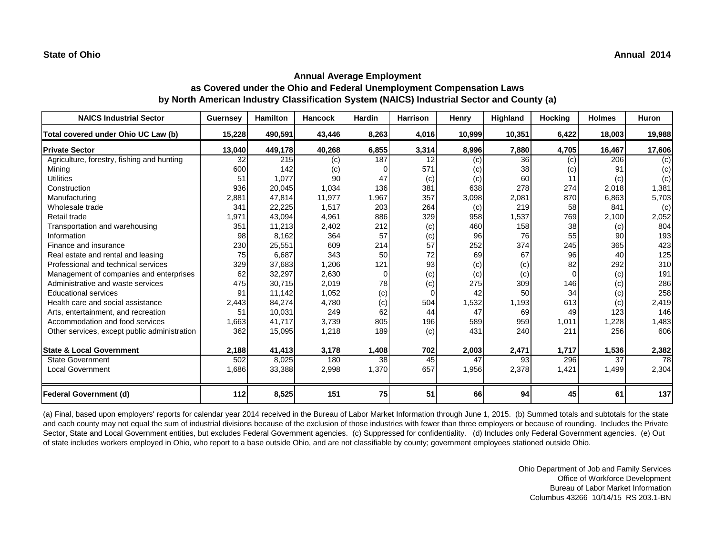# **Annual Average Employment as Covered under the Ohio and Federal Unemployment Compensation Laws by North American Industry Classification System (NAICS) Industrial Sector and County (a)**

| <b>NAICS Industrial Sector</b>               | <b>Guernsey</b> | <b>Hamilton</b> | <b>Hancock</b> | Hardin | <b>Harrison</b> | Henry  | Highland | <b>Hocking</b> | <b>Holmes</b> | Huron  |
|----------------------------------------------|-----------------|-----------------|----------------|--------|-----------------|--------|----------|----------------|---------------|--------|
| Total covered under Ohio UC Law (b)          | 15,228          | 490,591         | 43,446         | 8,263  | 4,016           | 10,999 | 10,351   | 6,422          | 18,003        | 19,988 |
| <b>Private Sector</b>                        | 13,040          | 449,178         | 40,268         | 6,855  | 3,314           | 8,996  | 7,880    | 4,705          | 16,467        | 17,606 |
| Agriculture, forestry, fishing and hunting   | 32              | 215             | (c)            | 187    | 12              | (c)    | 36       | (c)            | 206           | (c)    |
| Mining                                       | 600             | 142             | (c)            |        | 571             | (c)    | 38       | (c)            | 91            | (c)    |
| <b>Utilities</b>                             | 51              | 1,077           | 90             | 47     | (c)             | (c)    | 60       |                | (c)           | (c)    |
| Construction                                 | 936             | 20,045          | 1,034          | 136    | 381             | 638    | 278      | 274            | 2,018         | 1,381  |
| Manufacturing                                | 2,881           | 47,814          | 11,977         | 1,967  | 357             | 3,098  | 2,081    | 870            | 6,863         | 5,703  |
| Wholesale trade                              | 341             | 22,225          | 1,517          | 203    | 264             | (c)    | 219      | 58             | 841           | (c)    |
| Retail trade                                 | 1,971           | 43,094          | 4,961          | 886    | 329             | 958    | 1,537    | 769            | 2,100         | 2,052  |
| Transportation and warehousing               | 351             | 11,213          | 2,402          | 212    | (c)             | 460    | 158      | 38             | (c)           | 804    |
| Information                                  | 98              | 8,162           | 364            | 57     | (c)             | 96     | 76       | 55             | 90            | 193    |
| Finance and insurance                        | 230             | 25,551          | 609            | 214    | 57              | 252    | 374      | 245            | 365           | 423    |
| Real estate and rental and leasing           | 75              | 6,687           | 343            | 50     | 72              | 69     | 67       | 96             | 40            | 125    |
| Professional and technical services          | 329             | 37,683          | 1,206          | 121    | 93              | (c)    | (c)      | 82             | 292           | 310    |
| Management of companies and enterprises      | 62              | 32,297          | 2,630          | 0      | (c)             | (c)    | (c)      | $\Omega$       | (c)           | 191    |
| Administrative and waste services            | 475             | 30,715          | 2,019          | 78     | (c)             | 275    | 309      | 146            | (c)           | 286    |
| <b>Educational services</b>                  | 91              | 11,142          | 1,052          | (c)    | $\Omega$        | 42     | 50       | 34             | (c)           | 258    |
| Health care and social assistance            | 2,443           | 84,274          | 4,780          | (c)    | 504             | 1,532  | 1,193    | 613            | (c)           | 2,419  |
| Arts, entertainment, and recreation          | 51              | 10,031          | 249            | 62     | 44              | 47     | 69       | 49             | 123           | 146    |
| Accommodation and food services              | 1,663           | 41,717          | 3,739          | 805    | 196             | 589    | 959      | 1,011          | 1,228         | 1,483  |
| Other services, except public administration | 362             | 15,095          | 1,218          | 189    | (c)             | 431    | 240      | 211            | 256           | 606    |
| <b>State &amp; Local Government</b>          | 2,188           | 41,413          | 3,178          | 1,408  | 702             | 2,003  | 2,471    | 1,717          | 1,536         | 2,382  |
| <b>State Government</b>                      | 502             | 8,025           | 180            | 38     | 45              | 47     | 93       | 296            | 37            | 78     |
| <b>Local Government</b>                      | 1,686           | 33,388          | 2,998          | 1,370  | 657             | 1,956  | 2,378    | 1,421          | 1,499         | 2,304  |
| <b>Federal Government (d)</b>                | 112             | 8,525           | 151            | 75     | 51              | 66     | 94       | 45             | 61            | 137    |

(a) Final, based upon employers' reports for calendar year 2014 received in the Bureau of Labor Market Information through June 1, 2015. (b) Summed totals and subtotals for the state and each county may not equal the sum of industrial divisions because of the exclusion of those industries with fewer than three employers or because of rounding. Includes the Private Sector, State and Local Government entities, but excludes Federal Government agencies. (c) Suppressed for confidentiality. (d) Includes only Federal Government agencies. (e) Out of state includes workers employed in Ohio, who report to a base outside Ohio, and are not classifiable by county; government employees stationed outside Ohio.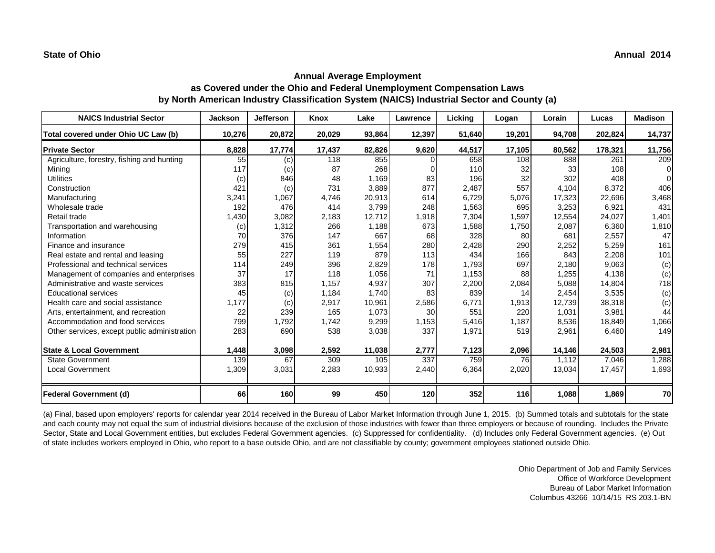| <b>NAICS Industrial Sector</b>               | <b>Jackson</b> | <b>Jefferson</b> | Knox   | Lake   | <b>Lawrence</b> | Licking | Logan  | Lorain | Lucas   | <b>Madison</b> |
|----------------------------------------------|----------------|------------------|--------|--------|-----------------|---------|--------|--------|---------|----------------|
| Total covered under Ohio UC Law (b)          | 10,276         | 20,872           | 20,029 | 93,864 | 12,397          | 51,640  | 19,201 | 94,708 | 202,824 | 14,737         |
| <b>Private Sector</b>                        | 8,828          | 17,774           | 17,437 | 82,826 | 9,620           | 44,517  | 17,105 | 80,562 | 178,321 | 11,756         |
| Agriculture, forestry, fishing and hunting   | 55             | (c)              | 118    | 855    |                 | 658     | 108    | 888    | 261     | 209            |
| Minina                                       | 117            | (c)              | 87     | 268    |                 | 110     | 32     | 33     | 108     | ∩              |
| <b>Utilities</b>                             | (c)            | 846              | 48     | 1,169  | 83              | 196     | 32     | 302    | 408     | ∩              |
| Construction                                 | 421            | (c)              | 731    | 3,889  | 877             | 2,487   | 557    | 4,104  | 8,372   | 406            |
| Manufacturing                                | 3,241          | 1,067            | 4,746  | 20,913 | 614             | 6,729   | 5,076  | 17,323 | 22,696  | 3,468          |
| Wholesale trade                              | 192            | 476              | 414    | 3,799  | 248             | 1,563   | 695    | 3,253  | 6,921   | 431            |
| Retail trade                                 | 1,430          | 3,082            | 2,183  | 12,712 | 1,918           | 7,304   | 1,597  | 12,554 | 24,027  | 1,401          |
| Transportation and warehousing               | (c)            | 1,312            | 266    | 1,188  | 673             | 1,588   | 1,750  | 2,087  | 6,360   | 1,810          |
| Information                                  | 70             | 376              | 147    | 667    | 68              | 328     | 80     | 681    | 2,557   | 47             |
| Finance and insurance                        | 279            | 415              | 361    | 1,554  | 280             | 2,428   | 290    | 2,252  | 5,259   | 161            |
| Real estate and rental and leasing           | 55             | 227              | 119    | 879    | 113             | 434     | 166    | 843    | 2,208   | 101            |
| Professional and technical services          | 114            | 249              | 396    | 2,829  | 178             | 1,793   | 697    | 2,180  | 9,063   | (c)            |
| Management of companies and enterprises      | 37             | 17               | 118    | 1,056  | 71              | 1,153   | 88     | 1,255  | 4,138   | (c)            |
| Administrative and waste services            | 383            | 815              | 1.157  | 4,937  | 307             | 2,200   | 2,084  | 5,088  | 14,804  | 718            |
| <b>Educational services</b>                  | 45             | (c)              | 1.184  | 1.740  | 83              | 839     | 14     | 2,454  | 3,535   | (c)            |
| Health care and social assistance            | 1,177          | (c)              | 2,917  | 10,961 | 2,586           | 6,771   | 1,913  | 12,739 | 38,318  | (c)            |
| Arts, entertainment, and recreation          | 22             | 239              | 165    | 1,073  | 30              | 551     | 220    | 1,031  | 3,981   | 44             |
| Accommodation and food services              | 799            | 1,792            | 1,742  | 9,299  | 1,153           | 5,416   | 1,187  | 8,536  | 18,849  | 1,066          |
| Other services, except public administration | 283            | 690              | 538    | 3,038  | 337             | 1,971   | 519    | 2,961  | 6,460   | 149            |
| <b>State &amp; Local Government</b>          | 1,448          | 3,098            | 2,592  | 11,038 | 2,777           | 7,123   | 2,096  | 14,146 | 24,503  | 2,981          |
| <b>State Government</b>                      | 139            | 67               | 309    | 105    | 337             | 759     | 76     | 1,112  | 7,046   | 1,288          |
| <b>Local Government</b>                      | 1,309          | 3,031            | 2,283  | 10,933 | 2,440           | 6,364   | 2,020  | 13,034 | 17,457  | 1,693          |
| <b>Federal Government (d)</b>                | 66             | 160              | 99     | 450    | 120             | 352     | 116    | 1.088  | 1,869   | 70             |

(a) Final, based upon employers' reports for calendar year 2014 received in the Bureau of Labor Market Information through June 1, 2015. (b) Summed totals and subtotals for the state and each county may not equal the sum of industrial divisions because of the exclusion of those industries with fewer than three employers or because of rounding. Includes the Private Sector, State and Local Government entities, but excludes Federal Government agencies. (c) Suppressed for confidentiality. (d) Includes only Federal Government agencies. (e) Out of state includes workers employed in Ohio, who report to a base outside Ohio, and are not classifiable by county; government employees stationed outside Ohio.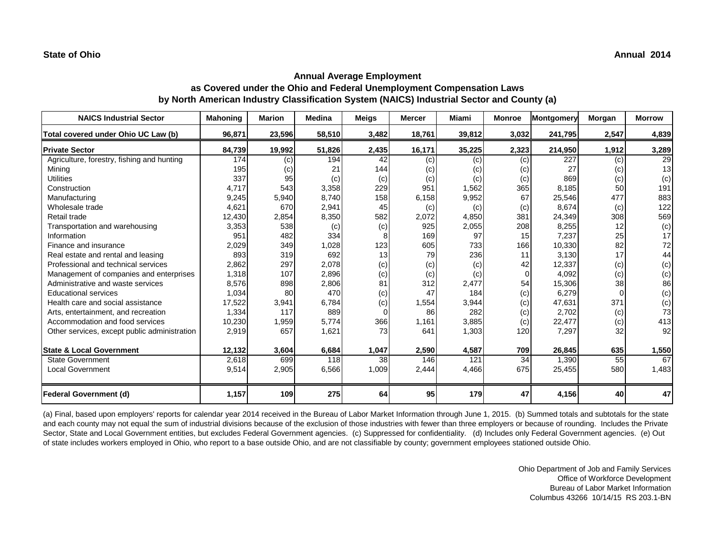# **Annual Average Employment as Covered under the Ohio and Federal Unemployment Compensation Laws by North American Industry Classification System (NAICS) Industrial Sector and County (a)**

| <b>NAICS Industrial Sector</b>               | <b>Mahoning</b> | <b>Marion</b> | <b>Medina</b> | <b>Meigs</b> | <b>Mercer</b> | <b>Miami</b> | <b>Monroe</b> | Montgomery | Morgan | <b>Morrow</b> |
|----------------------------------------------|-----------------|---------------|---------------|--------------|---------------|--------------|---------------|------------|--------|---------------|
| Total covered under Ohio UC Law (b)          | 96,871          | 23,596        | 58,510        | 3,482        | 18,761        | 39,812       | 3,032         | 241,795    | 2,547  | 4,839         |
| <b>Private Sector</b>                        | 84,739          | 19,992        | 51,826        | 2,435        | 16,171        | 35,225       | 2,323         | 214,950    | 1,912  | 3,289         |
| Agriculture, forestry, fishing and hunting   | 174             | (c)           | 194           | 42           | (c)           | (c)          | (c)           | 227        | (c)    | 29            |
| Mining                                       | 195             | (c)           | 21            | 144          | (c)           | (C)          | (c)           | 27         | (c)    | 13            |
| <b>Utilities</b>                             | 337             | 95            | (c)           | (c)          | (c)           | (c)          | (c)           | 869        | (c)    | (c)           |
| Construction                                 | 4,717           | 543           | 3,358         | 229          | 951           | 1,562        | 365           | 8,185      | 50     | 191           |
| Manufacturing                                | 9,245           | 5,940         | 8.740         | 158          | 6,158         | 9,952        | 67            | 25,546     | 477    | 883           |
| Wholesale trade                              | 4,621           | 670           | 2,941         | 45           | (c)           | (c)          | (c)           | 8,674      | (c)    | 122           |
| Retail trade                                 | 12,430          | 2,854         | 8,350         | 582          | 2,072         | 4,850        | 381           | 24,349     | 308    | 569           |
| Transportation and warehousing               | 3,353           | 538           | (c)           | (c)          | 925           | 2,055        | 208           | 8,255      | 12     | (c)           |
| Information                                  | 951             | 482           | 334           | 8            | 169           | 97           | 15            | 7,237      | 25     | 17            |
| Finance and insurance                        | 2,029           | 349           | 1,028         | 123          | 605           | 733          | 166           | 10,330     | 82     | 72            |
| Real estate and rental and leasing           | 893             | 319           | 692           | 13           | 79            | 236          | 11            | 3,130      | 17     | 44            |
| Professional and technical services          | 2,862           | 297           | 2,078         | (c)          | (c)           | (c)          | 42            | 12,337     | (c)    | (c)           |
| Management of companies and enterprises      | 1,318           | 107           | 2,896         | (c)          | (c)           | (c)          | $\Omega$      | 4,092      | (c)    | (c)           |
| Administrative and waste services            | 8,576           | 898           | 2,806         | 81           | 312           | 2,477        | 54            | 15,306     | 38     | 86            |
| <b>Educational services</b>                  | 1,034           | 80            | 470           | (c)          | 47            | 184          | (c)           | 6,279      |        | (c)           |
| Health care and social assistance            | 17,522          | 3,941         | 6,784         | (c)          | 1,554         | 3,944        | (c)           | 47,631     | 371    | (c)           |
| Arts, entertainment, and recreation          | 1,334           | 117           | 889           |              | 86            | 282          | (c)           | 2,702      | (c)    | 73            |
| Accommodation and food services              | 10,230          | 1,959         | 5,774         | 366          | 1,161         | 3,885        | (c)           | 22,477     | (c)    | 413           |
| Other services, except public administration | 2,919           | 657           | 1,621         | 73           | 641           | 1,303        | 120           | 7,297      | 32     | 92            |
| <b>State &amp; Local Government</b>          | 12,132          | 3,604         | 6,684         | 1,047        | 2,590         | 4,587        | 709           | 26,845     | 635    | 1,550         |
| <b>State Government</b>                      | 2,618           | 699           | 118           | 38           | 146           | 121          | 34            | 1,390      | 55     | 67            |
| <b>Local Government</b>                      | 9,514           | 2,905         | 6,566         | 1,009        | 2,444         | 4,466        | 675           | 25,455     | 580    | 1,483         |
| <b>Federal Government (d)</b>                | 1,157           | 109           | 275           | 64           | 95            | 179          | 47            | 4,156      | 40     | 47            |

(a) Final, based upon employers' reports for calendar year 2014 received in the Bureau of Labor Market Information through June 1, 2015. (b) Summed totals and subtotals for the state and each county may not equal the sum of industrial divisions because of the exclusion of those industries with fewer than three employers or because of rounding. Includes the Private Sector, State and Local Government entities, but excludes Federal Government agencies. (c) Suppressed for confidentiality. (d) Includes only Federal Government agencies. (e) Out of state includes workers employed in Ohio, who report to a base outside Ohio, and are not classifiable by county; government employees stationed outside Ohio.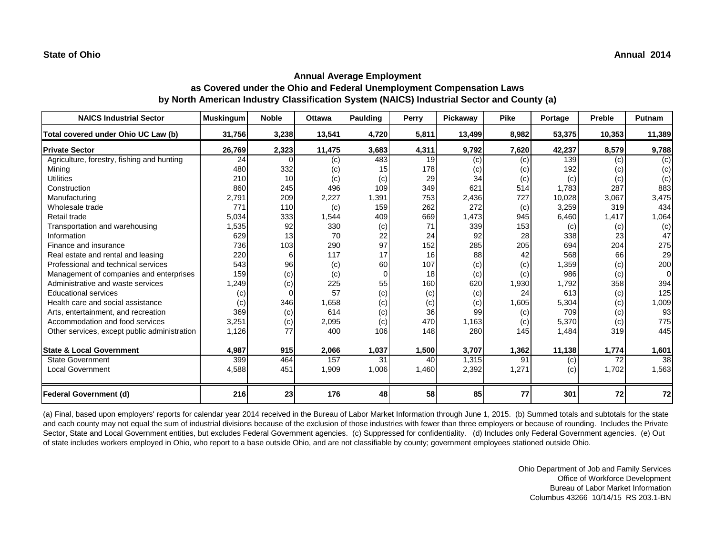# **Annual Average Employment as Covered under the Ohio and Federal Unemployment Compensation Laws by North American Industry Classification System (NAICS) Industrial Sector and County (a)**

| <b>NAICS Industrial Sector</b>               | <b>Muskingum</b> | <b>Noble</b> | Ottawa | Paulding | Perry | Pickaway | <b>Pike</b> | Portage | Preble | Putnam   |
|----------------------------------------------|------------------|--------------|--------|----------|-------|----------|-------------|---------|--------|----------|
| Total covered under Ohio UC Law (b)          | 31,756           | 3,238        | 13,541 | 4,720    | 5,811 | 13,499   | 8,982       | 53,375  | 10,353 | 11,389   |
| <b>Private Sector</b>                        | 26,769           | 2,323        | 11,475 | 3,683    | 4,311 | 9,792    | 7,620       | 42,237  | 8,579  | 9,788    |
| Agriculture, forestry, fishing and hunting   | 24               |              | (c)    | 483      | 19    | (c)      | (c)         | 139     | (c)    | (c)      |
| Mining                                       | 480              | 332          | (c)    | 15       | 178   | (c)      | (c)         | 192     | (c)    | (c)      |
| <b>Utilities</b>                             | 210              | 10           | (c)    | (c)      | 29    | 34       | (c)         | (c)     | (c)    | (c)      |
| Construction                                 | 860              | 245          | 496    | 109      | 349   | 621      | 514         | 1,783   | 287    | 883      |
| Manufacturing                                | 2,791            | 209          | 2,227  | 1,391    | 753   | 2,436    | 727         | 10,028  | 3,067  | 3,475    |
| Wholesale trade                              | 771              | 110          | (c)    | 159      | 262   | 272      | (c)         | 3,259   | 319    | 434      |
| Retail trade                                 | 5,034            | 333          | 1,544  | 409      | 669   | 1,473    | 945         | 6,460   | 1,417  | 1,064    |
| Transportation and warehousing               | 1,535            | 92           | 330    | (c)      | 71    | 339      | 153         | (c)     | (c)    | (c)      |
| Information                                  | 629              | 13           | 70     | 22       | 24    | 92       | 28          | 338     | 23     | 47       |
| Finance and insurance                        | 736              | 103          | 290    | 97       | 152   | 285      | 205         | 694     | 204    | 275      |
| Real estate and rental and leasing           | 220              | 6            | 117    | 17       | 16    | 88       | 42          | 568     | 66     | 29       |
| Professional and technical services          | 543              | 96           | (c)    | 60       | 107   | (c)      | (c)         | 1,359   | (c)    | 200      |
| Management of companies and enterprises      | 159              | (c)          | (c)    | 0        | 18    | (c)      | (c)         | 986     | (c)    | $\Omega$ |
| Administrative and waste services            | 1,249            | (c)          | 225    | 55       | 160   | 620      | 1,930       | 1,792   | 358    | 394      |
| <b>Educational services</b>                  | (c)              |              | 57     | (c)      | (c)   | (c)      | 24          | 613     | (c)    | 125      |
| Health care and social assistance            | (c)              | 346          | 1,658  | (c)      | (c)   | (c)      | 1,605       | 5,304   | (c)    | 1,009    |
| Arts, entertainment, and recreation          | 369              | (c)          | 614    | (c)      | 36    | 99       | (c)         | 709     | (c)    | 93       |
| Accommodation and food services              | 3,251            | (c)          | 2,095  | (c)      | 470   | 1,163    | (c)         | 5,370   | (c)    | 775      |
| Other services, except public administration | 1,126            | 77           | 400    | 106      | 148   | 280      | 145         | 1,484   | 319    | 445      |
| <b>State &amp; Local Government</b>          | 4,987            | 915          | 2,066  | 1,037    | 1,500 | 3,707    | 1,362       | 11,138  | 1,774  | 1,601    |
| <b>State Government</b>                      | 399              | 464          | 157    | 31       | 40    | 1,315    | 91          | (c)     | 72     | 38       |
| <b>Local Government</b>                      | 4,588            | 451          | 1,909  | 1,006    | 1,460 | 2,392    | 1,271       | (c)     | 1,702  | 1,563    |
| <b>Federal Government (d)</b>                | 216              | 23           | 176    | 48       | 58    | 85       | 77          | 301     | 72     | 72       |

(a) Final, based upon employers' reports for calendar year 2014 received in the Bureau of Labor Market Information through June 1, 2015. (b) Summed totals and subtotals for the state and each county may not equal the sum of industrial divisions because of the exclusion of those industries with fewer than three employers or because of rounding. Includes the Private Sector, State and Local Government entities, but excludes Federal Government agencies. (c) Suppressed for confidentiality. (d) Includes only Federal Government agencies. (e) Out of state includes workers employed in Ohio, who report to a base outside Ohio, and are not classifiable by county; government employees stationed outside Ohio.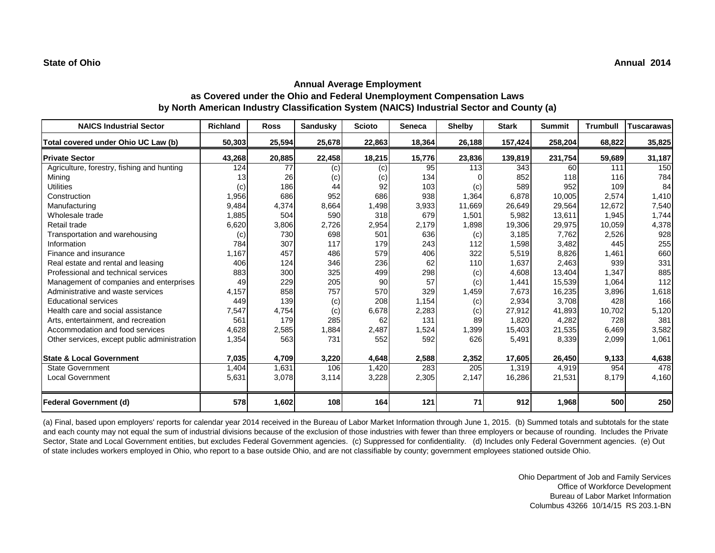# **Annual Average Employment as Covered under the Ohio and Federal Unemployment Compensation Laws by North American Industry Classification System (NAICS) Industrial Sector and County (a)**

| <b>NAICS Industrial Sector</b>               | Richland | <b>Ross</b> | <b>Sandusky</b> | <b>Scioto</b> | Seneca | <b>Shelby</b> | <b>Stark</b> | <b>Summit</b> | <b>Trumbull</b> | <b>Tuscarawas</b> |
|----------------------------------------------|----------|-------------|-----------------|---------------|--------|---------------|--------------|---------------|-----------------|-------------------|
| Total covered under Ohio UC Law (b)          | 50,303   | 25,594      | 25,678          | 22,863        | 18,364 | 26,188        | 157,424      | 258,204       | 68,822          | 35,825            |
| <b>Private Sector</b>                        | 43,268   | 20,885      | 22,458          | 18,215        | 15,776 | 23,836        | 139,819      | 231,754       | 59,689          | 31,187            |
| Agriculture, forestry, fishing and hunting   | 124      | 77          | (c)             | (c)           | 95     | 113           | 343          | 60            | 111             | 150               |
| Mining                                       | 13       | 26          | (c)             | (c)           | 134    |               | 852          | 118           | 116             | 784               |
| <b>Utilities</b>                             | (c)      | 186         | 44              | 92            | 103    | (c)           | 589          | 952           | 109             | 84                |
| Construction                                 | 1,956    | 686         | 952             | 686           | 938    | 1,364         | 6,878        | 10,005        | 2,574           | 1,410             |
| Manufacturing                                | 9,484    | 4,374       | 8,664           | 1,498         | 3,933  | 11,669        | 26,649       | 29,564        | 12,672          | 7,540             |
| Wholesale trade                              | 1,885    | 504         | 590             | 318           | 679    | 1,501         | 5,982        | 13,611        | 1.945           | 1,744             |
| Retail trade                                 | 6,620    | 3,806       | 2,726           | 2,954         | 2,179  | 1,898         | 19,306       | 29,975        | 10,059          | 4,378             |
| Transportation and warehousing               | (c)      | 730         | 698             | 501           | 636    | (c)           | 3,185        | 7,762         | 2,526           | 928               |
| Information                                  | 784      | 307         | 117             | 179           | 243    | 112           | 1,598        | 3,482         | 445             | 255               |
| Finance and insurance                        | 1,167    | 457         | 486             | 579           | 406    | 322           | 5,519        | 8,826         | 1,461           | 660               |
| Real estate and rental and leasing           | 406      | 124         | 346             | 236           | 62     | 110           | 1,637        | 2,463         | 939             | 331               |
| Professional and technical services          | 883      | 300         | 325             | 499           | 298    | (c)           | 4,608        | 13,404        | 1,347           | 885               |
| Management of companies and enterprises      | 49       | 229         | 205             | 90            | 57     | (c)           | 1,441        | 15,539        | 1,064           | 112               |
| Administrative and waste services            | 4,157    | 858         | 757             | 570           | 329    | 1,459         | 7,673        | 16,235        | 3,896           | 1,618             |
| <b>Educational services</b>                  | 449      | 139         | (c)             | 208           | 1,154  | (c)           | 2,934        | 3,708         | 428             | 166               |
| Health care and social assistance            | 7,547    | 4,754       | (c)             | 6,678         | 2,283  | (c)           | 27,912       | 41,893        | 10,702          | 5,120             |
| Arts, entertainment, and recreation          | 561      | 179         | 285             | 62            | 131    | 89            | 1.820        | 4,282         | 728             | 381               |
| Accommodation and food services              | 4,628    | 2,585       | 1,884           | 2,487         | 1,524  | 1,399         | 15,403       | 21,535        | 6,469           | 3,582             |
| Other services, except public administration | 1,354    | 563         | 731             | 552           | 592    | 626           | 5,491        | 8,339         | 2,099           | 1,061             |
| <b>State &amp; Local Government</b>          | 7,035    | 4,709       | 3,220           | 4,648         | 2,588  | 2,352         | 17,605       | 26,450        | 9,133           | 4,638             |
| <b>State Government</b>                      | 1,404    | 1,631       | 106             | 1,420         | 283    | 205           | 1,319        | 4,919         | 954             | 478               |
| Local Government                             | 5,631    | 3,078       | 3,114           | 3,228         | 2,305  | 2,147         | 16,286       | 21,531        | 8,179           | 4,160             |
| <b>Federal Government (d)</b>                | 578      | 1,602       | 108             | 164           | 121    | 71            | 912          | 1,968         | 500             | 250               |

(a) Final, based upon employers' reports for calendar year 2014 received in the Bureau of Labor Market Information through June 1, 2015. (b) Summed totals and subtotals for the state and each county may not equal the sum of industrial divisions because of the exclusion of those industries with fewer than three employers or because of rounding. Includes the Private Sector, State and Local Government entities, but excludes Federal Government agencies. (c) Suppressed for confidentiality. (d) Includes only Federal Government agencies. (e) Out of state includes workers employed in Ohio, who report to a base outside Ohio, and are not classifiable by county; government employees stationed outside Ohio.